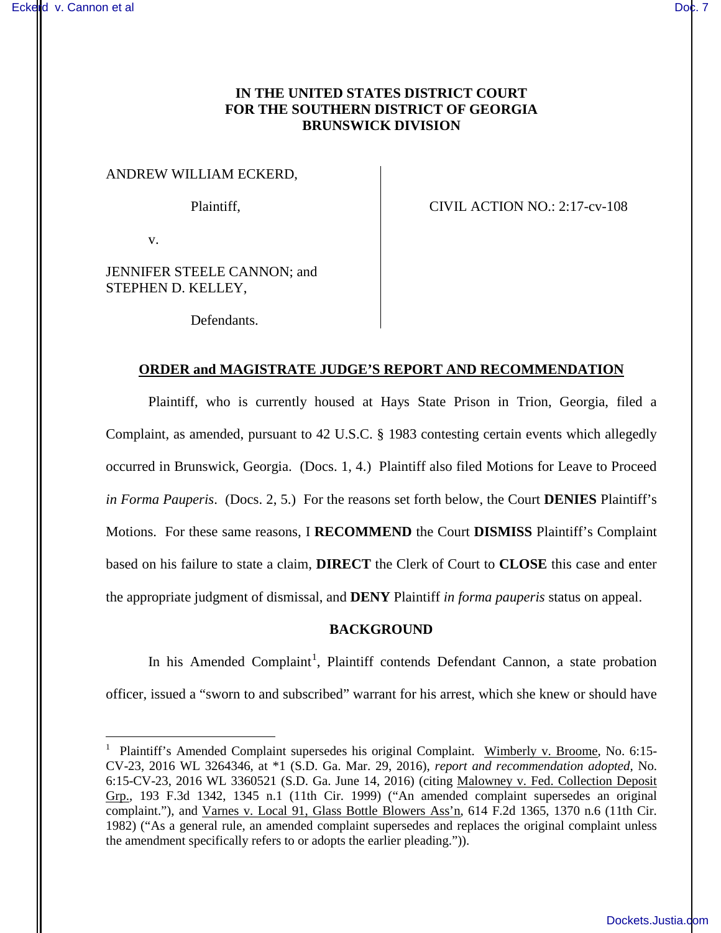# **IN THE UNITED STATES DISTRICT COURT FOR THE SOUTHERN DISTRICT OF GEORGIA BRUNSWICK DIVISION**

## ANDREW WILLIAM ECKERD,

Plaintiff, CIVIL ACTION NO.: 2:17-cv-108

v.

 $\overline{a}$ 

JENNIFER STEELE CANNON; and STEPHEN D. KELLEY,

Defendants.

## **ORDER and MAGISTRATE JUDGE'S REPORT AND RECOMMENDATION**

Plaintiff, who is currently housed at Hays State Prison in Trion, Georgia, filed a Complaint, as amended, pursuant to 42 U.S.C. § 1983 contesting certain events which allegedly occurred in Brunswick, Georgia. (Docs. 1, 4.) Plaintiff also filed Motions for Leave to Proceed *in Forma Pauperis*. (Docs. 2, 5.) For the reasons set forth below, the Court **DENIES** Plaintiff's Motions. For these same reasons, I **RECOMMEND** the Court **DISMISS** Plaintiff's Complaint based on his failure to state a claim, **DIRECT** the Clerk of Court to **CLOSE** this case and enter the appropriate judgment of dismissal, and **DENY** Plaintiff *in forma pauperis* status on appeal.

## **BACKGROUND**

In his Amended Complaint<sup>1</sup>, Plaintiff contends Defendant Cannon, a state probation officer, issued a "sworn to and subscribed" warrant for his arrest, which she knew or should have

<sup>&</sup>lt;sup>1</sup> Plaintiff's Amended Complaint supersedes his original Complaint. Wimberly v. Broome, No. 6:15-CV-23, 2016 WL 3264346, at \*1 (S.D. Ga. Mar. 29, 2016), *report and recommendation adopted*, No. 6:15-CV-23, 2016 WL 3360521 (S.D. Ga. June 14, 2016) (citing Malowney v. Fed. Collection Deposit Grp., 193 F.3d 1342, 1345 n.1 (11th Cir. 1999) ("An amended complaint supersedes an original complaint."), and Varnes v. Local 91, Glass Bottle Blowers Ass'n, 614 F.2d 1365, 1370 n.6 (11th Cir. 1982) ("As a general rule, an amended complaint supersedes and replaces the original complaint unless the amendment specifically refers to or adopts the earlier pleading.")).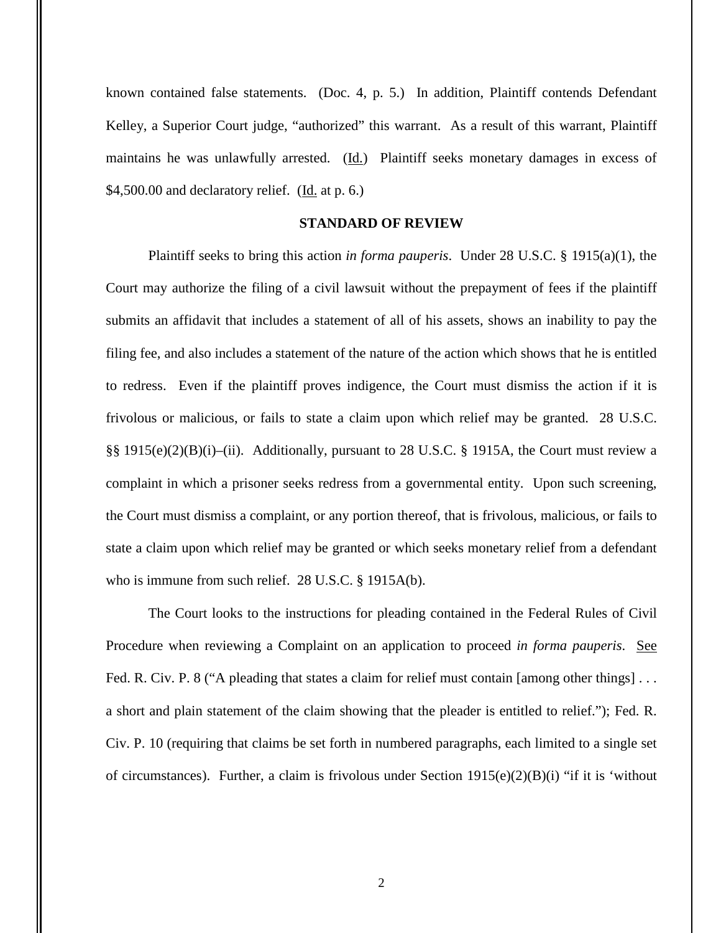known contained false statements. (Doc. 4, p. 5.) In addition, Plaintiff contends Defendant Kelley, a Superior Court judge, "authorized" this warrant. As a result of this warrant, Plaintiff maintains he was unlawfully arrested. (Id.) Plaintiff seeks monetary damages in excess of  $$4,500.00$  and declaratory relief. (Id. at p. 6.)

## **STANDARD OF REVIEW**

Plaintiff seeks to bring this action *in forma pauperis*. Under 28 U.S.C. § 1915(a)(1), the Court may authorize the filing of a civil lawsuit without the prepayment of fees if the plaintiff submits an affidavit that includes a statement of all of his assets, shows an inability to pay the filing fee, and also includes a statement of the nature of the action which shows that he is entitled to redress. Even if the plaintiff proves indigence, the Court must dismiss the action if it is frivolous or malicious, or fails to state a claim upon which relief may be granted. 28 U.S.C. §§ 1915(e)(2)(B)(i)–(ii). Additionally, pursuant to 28 U.S.C. § 1915A, the Court must review a complaint in which a prisoner seeks redress from a governmental entity. Upon such screening, the Court must dismiss a complaint, or any portion thereof, that is frivolous, malicious, or fails to state a claim upon which relief may be granted or which seeks monetary relief from a defendant who is immune from such relief. 28 U.S.C. § 1915A(b).

The Court looks to the instructions for pleading contained in the Federal Rules of Civil Procedure when reviewing a Complaint on an application to proceed *in forma pauperis*. See Fed. R. Civ. P. 8 ("A pleading that states a claim for relief must contain [among other things]... a short and plain statement of the claim showing that the pleader is entitled to relief."); Fed. R. Civ. P. 10 (requiring that claims be set forth in numbered paragraphs, each limited to a single set of circumstances). Further, a claim is frivolous under Section  $1915(e)(2)(B)(i)$  "if it is 'without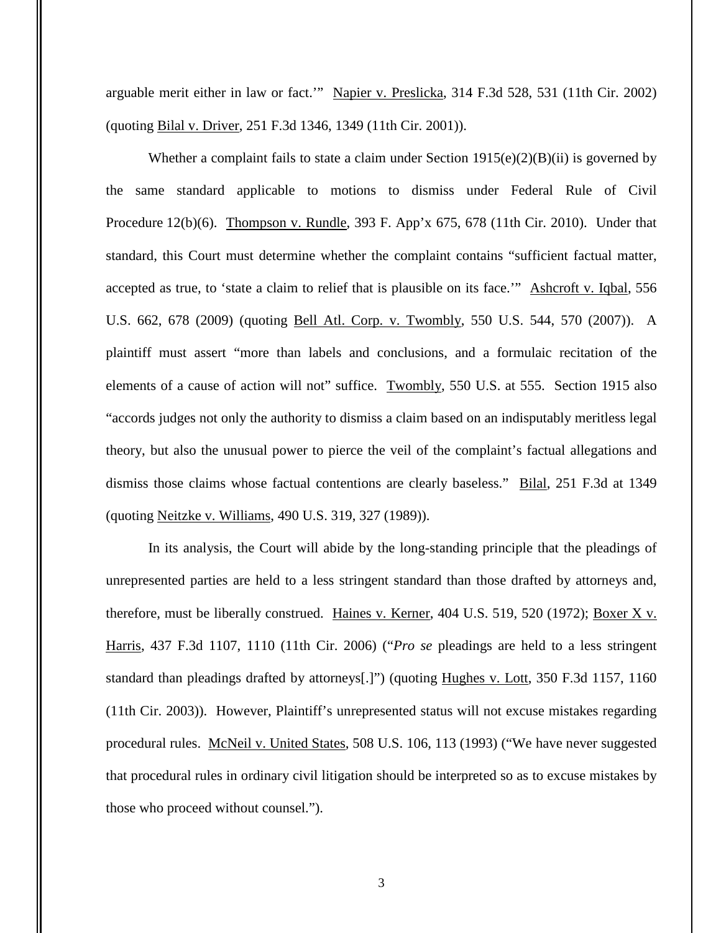arguable merit either in law or fact.'" Napier v. Preslicka, 314 F.3d 528, 531 (11th Cir. 2002) (quoting Bilal v. Driver, 251 F.3d 1346, 1349 (11th Cir. 2001)).

Whether a complaint fails to state a claim under Section  $1915(e)(2)(B)(ii)$  is governed by the same standard applicable to motions to dismiss under Federal Rule of Civil Procedure 12(b)(6). Thompson v. Rundle, 393 F. App'x 675, 678 (11th Cir. 2010). Under that standard, this Court must determine whether the complaint contains "sufficient factual matter, accepted as true, to 'state a claim to relief that is plausible on its face.'" Ashcroft v. Iqbal, 556 U.S. 662, 678 (2009) (quoting Bell Atl. Corp. v. Twombly, 550 U.S. 544, 570 (2007)). A plaintiff must assert "more than labels and conclusions, and a formulaic recitation of the elements of a cause of action will not" suffice. Twombly, 550 U.S. at 555. Section 1915 also "accords judges not only the authority to dismiss a claim based on an indisputably meritless legal theory, but also the unusual power to pierce the veil of the complaint's factual allegations and dismiss those claims whose factual contentions are clearly baseless." Bilal, 251 F.3d at 1349 (quoting Neitzke v. Williams, 490 U.S. 319, 327 (1989)).

In its analysis, the Court will abide by the long-standing principle that the pleadings of unrepresented parties are held to a less stringent standard than those drafted by attorneys and, therefore, must be liberally construed. Haines v. Kerner, 404 U.S. 519, 520 (1972); Boxer X v. Harris, 437 F.3d 1107, 1110 (11th Cir. 2006) ("*Pro se* pleadings are held to a less stringent standard than pleadings drafted by attorneys[.]") (quoting Hughes v. Lott, 350 F.3d 1157, 1160 (11th Cir. 2003)). However, Plaintiff's unrepresented status will not excuse mistakes regarding procedural rules. McNeil v. United States, 508 U.S. 106, 113 (1993) ("We have never suggested that procedural rules in ordinary civil litigation should be interpreted so as to excuse mistakes by those who proceed without counsel.").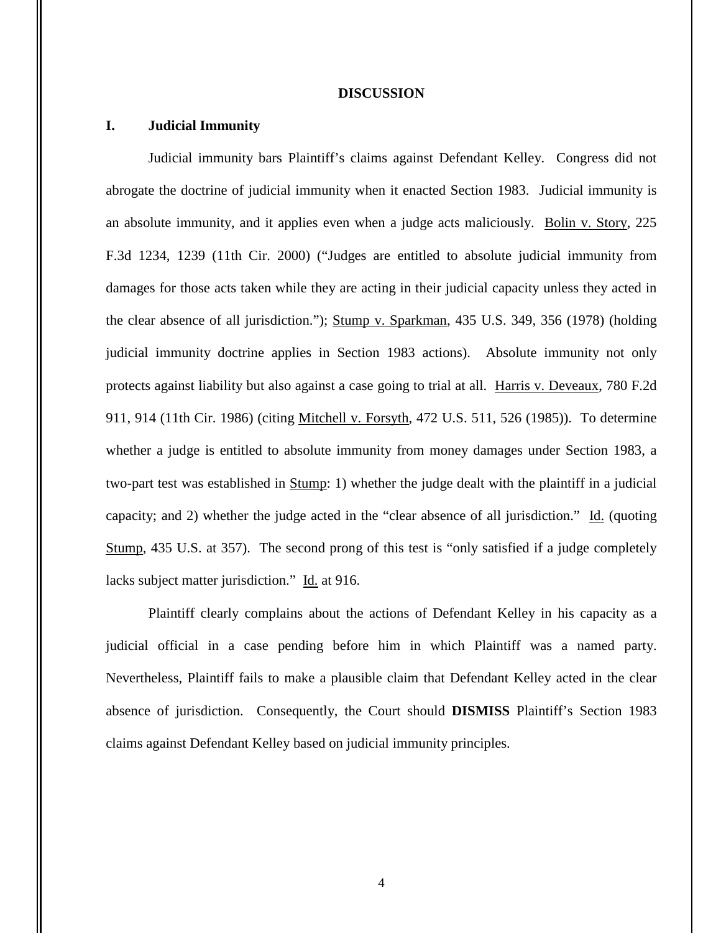#### **DISCUSSION**

## **I. Judicial Immunity**

Judicial immunity bars Plaintiff's claims against Defendant Kelley. Congress did not abrogate the doctrine of judicial immunity when it enacted Section 1983. Judicial immunity is an absolute immunity, and it applies even when a judge acts maliciously. Bolin v. Story, 225 F.3d 1234, 1239 (11th Cir. 2000) ("Judges are entitled to absolute judicial immunity from damages for those acts taken while they are acting in their judicial capacity unless they acted in the clear absence of all jurisdiction."); Stump v. Sparkman, 435 U.S. 349, 356 (1978) (holding judicial immunity doctrine applies in Section 1983 actions). Absolute immunity not only protects against liability but also against a case going to trial at all. Harris v. Deveaux, 780 F.2d 911, 914 (11th Cir. 1986) (citing Mitchell v. Forsyth, 472 U.S. 511, 526 (1985)). To determine whether a judge is entitled to absolute immunity from money damages under Section 1983, a two-part test was established in Stump: 1) whether the judge dealt with the plaintiff in a judicial capacity; and 2) whether the judge acted in the "clear absence of all jurisdiction." Id. (quoting Stump, 435 U.S. at 357). The second prong of this test is "only satisfied if a judge completely lacks subject matter jurisdiction." Id. at 916.

Plaintiff clearly complains about the actions of Defendant Kelley in his capacity as a judicial official in a case pending before him in which Plaintiff was a named party. Nevertheless, Plaintiff fails to make a plausible claim that Defendant Kelley acted in the clear absence of jurisdiction. Consequently, the Court should **DISMISS** Plaintiff's Section 1983 claims against Defendant Kelley based on judicial immunity principles.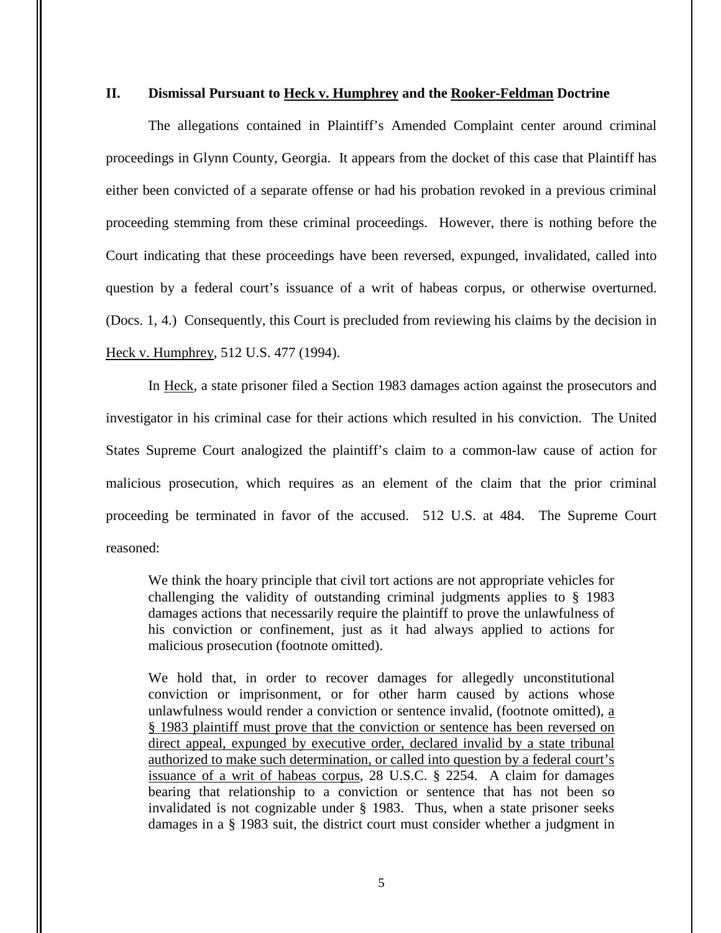## **II. Dismissal Pursuant to Heck v. Humphrey and the Rooker-Feldman Doctrine**

The allegations contained in Plaintiff's Amended Complaint center around criminal proceedings in Glynn County, Georgia. It appears from the docket of this case that Plaintiff has either been convicted of a separate offense or had his probation revoked in a previous criminal proceeding stemming from these criminal proceedings. However, there is nothing before the Court indicating that these proceedings have been reversed, expunged, invalidated, called into question by a federal court's issuance of a writ of habeas corpus, or otherwise overturned. (Docs. 1, 4.) Consequently, this Court is precluded from reviewing his claims by the decision in Heck v. Humphrey, 512 U.S. 477 (1994).

In Heck, a state prisoner filed a Section 1983 damages action against the prosecutors and investigator in his criminal case for their actions which resulted in his conviction. The United States Supreme Court analogized the plaintiff's claim to a common-law cause of action for malicious prosecution, which requires as an element of the claim that the prior criminal proceeding be terminated in favor of the accused. 512 U.S. at 484. The Supreme Court reasoned:

We think the hoary principle that civil tort actions are not appropriate vehicles for challenging the validity of outstanding criminal judgments applies to § 1983 damages actions that necessarily require the plaintiff to prove the unlawfulness of his conviction or confinement, just as it had always applied to actions for malicious prosecution (footnote omitted).

We hold that, in order to recover damages for allegedly unconstitutional conviction or imprisonment, or for other harm caused by actions whose unlawfulness would render a conviction or sentence invalid, (footnote omitted), a § 1983 plaintiff must prove that the conviction or sentence has been reversed on direct appeal, expunged by executive order, declared invalid by a state tribunal authorized to make such determination, or called into question by a federal court's issuance of a writ of habeas corpus, 28 U.S.C. § 2254. A claim for damages bearing that relationship to a conviction or sentence that has not been so invalidated is not cognizable under § 1983. Thus, when a state prisoner seeks damages in a § 1983 suit, the district court must consider whether a judgment in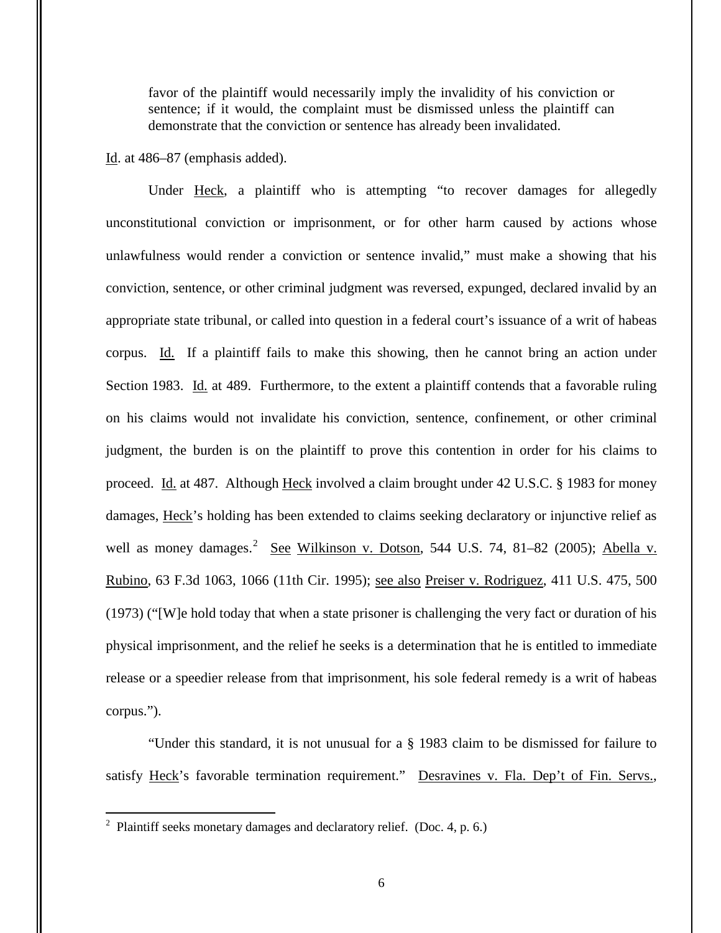favor of the plaintiff would necessarily imply the invalidity of his conviction or sentence; if it would, the complaint must be dismissed unless the plaintiff can demonstrate that the conviction or sentence has already been invalidated.

Id. at 486–87 (emphasis added).

Under Heck, a plaintiff who is attempting "to recover damages for allegedly unconstitutional conviction or imprisonment, or for other harm caused by actions whose unlawfulness would render a conviction or sentence invalid," must make a showing that his conviction, sentence, or other criminal judgment was reversed, expunged, declared invalid by an appropriate state tribunal, or called into question in a federal court's issuance of a writ of habeas corpus. Id. If a plaintiff fails to make this showing, then he cannot bring an action under Section 1983. Id. at 489. Furthermore, to the extent a plaintiff contends that a favorable ruling on his claims would not invalidate his conviction, sentence, confinement, or other criminal judgment, the burden is on the plaintiff to prove this contention in order for his claims to proceed. Id. at 487. Although Heck involved a claim brought under 42 U.S.C. § 1983 for money damages, Heck's holding has been extended to claims seeking declaratory or injunctive relief as well as money damages.<sup>2</sup> See Wilkinson v. Dotson, 544 U.S. 74, 81–82 (2005); Abella v. Rubino, 63 F.3d 1063, 1066 (11th Cir. 1995); see also Preiser v. Rodriguez, 411 U.S. 475, 500 (1973) ("[W]e hold today that when a state prisoner is challenging the very fact or duration of his physical imprisonment, and the relief he seeks is a determination that he is entitled to immediate release or a speedier release from that imprisonment, his sole federal remedy is a writ of habeas corpus.").

"Under this standard, it is not unusual for a § 1983 claim to be dismissed for failure to satisfy Heck's favorable termination requirement." Desravines v. Fla. Dep't of Fin. Servs.,

<sup>&</sup>lt;sup>2</sup> Plaintiff seeks monetary damages and declaratory relief. (Doc. 4, p. 6.)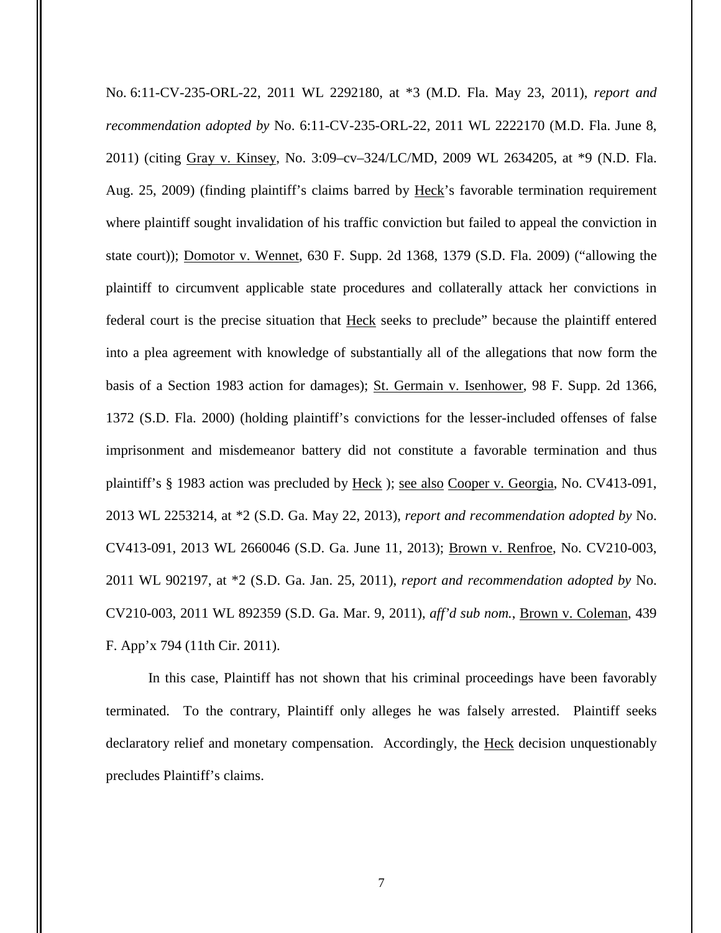No. 6:11-CV-235-ORL-22, 2011 WL 2292180, at \*3 (M.D. Fla. May 23, 2011), *report and recommendation adopted by* No. 6:11-CV-235-ORL-22, 2011 WL 2222170 (M.D. Fla. June 8, 2011) (citing Gray v. Kinsey, No. 3:09–cv–324/LC/MD, 2009 WL 2634205, at \*9 (N.D. Fla. Aug. 25, 2009) (finding plaintiff's claims barred by Heck's favorable termination requirement where plaintiff sought invalidation of his traffic conviction but failed to appeal the conviction in state court)); Domotor v. Wennet, 630 F. Supp. 2d 1368, 1379 (S.D. Fla. 2009) ("allowing the plaintiff to circumvent applicable state procedures and collaterally attack her convictions in federal court is the precise situation that Heck seeks to preclude" because the plaintiff entered into a plea agreement with knowledge of substantially all of the allegations that now form the basis of a Section 1983 action for damages); St. Germain v. Isenhower, 98 F. Supp. 2d 1366, 1372 (S.D. Fla. 2000) (holding plaintiff's convictions for the lesser-included offenses of false imprisonment and misdemeanor battery did not constitute a favorable termination and thus plaintiff's § 1983 action was precluded by Heck); see also Cooper v. Georgia, No. CV413-091, 2013 WL 2253214, at \*2 (S.D. Ga. May 22, 2013), *report and recommendation adopted by* No. CV413-091, 2013 WL 2660046 (S.D. Ga. June 11, 2013); Brown v. Renfroe, No. CV210-003, 2011 WL 902197, at \*2 (S.D. Ga. Jan. 25, 2011), *report and recommendation adopted by* No. CV210-003, 2011 WL 892359 (S.D. Ga. Mar. 9, 2011), *aff'd sub nom.*, Brown v. Coleman, 439 F. App'x 794 (11th Cir. 2011).

In this case, Plaintiff has not shown that his criminal proceedings have been favorably terminated. To the contrary, Plaintiff only alleges he was falsely arrested. Plaintiff seeks declaratory relief and monetary compensation. Accordingly, the Heck decision unquestionably precludes Plaintiff's claims.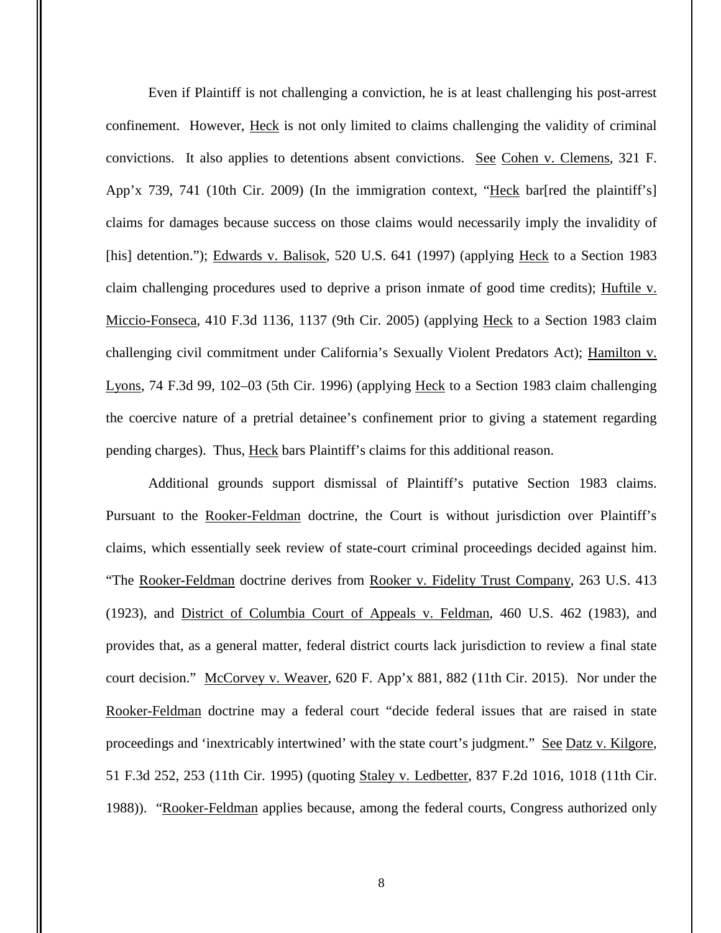Even if Plaintiff is not challenging a conviction, he is at least challenging his post-arrest confinement. However, Heck is not only limited to claims challenging the validity of criminal convictions. It also applies to detentions absent convictions. See Cohen v. Clemens, 321 F. App'x 739, 741 (10th Cir. 2009) (In the immigration context, "Heck bar[red the plaintiff's] claims for damages because success on those claims would necessarily imply the invalidity of [his] detention."); Edwards v. Balisok, 520 U.S. 641 (1997) (applying Heck to a Section 1983 claim challenging procedures used to deprive a prison inmate of good time credits); Huftile v. Miccio-Fonseca, 410 F.3d 1136, 1137 (9th Cir. 2005) (applying Heck to a Section 1983 claim challenging civil commitment under California's Sexually Violent Predators Act); Hamilton v. Lyons, 74 F.3d 99, 102–03 (5th Cir. 1996) (applying Heck to a Section 1983 claim challenging the coercive nature of a pretrial detainee's confinement prior to giving a statement regarding pending charges). Thus, Heck bars Plaintiff's claims for this additional reason.

Additional grounds support dismissal of Plaintiff's putative Section 1983 claims. Pursuant to the Rooker-Feldman doctrine, the Court is without jurisdiction over Plaintiff's claims, which essentially seek review of state-court criminal proceedings decided against him. "The Rooker-Feldman doctrine derives from Rooker v. Fidelity Trust Company, 263 U.S. 413 (1923), and District of Columbia Court of Appeals v. Feldman, 460 U.S. 462 (1983), and provides that, as a general matter, federal district courts lack jurisdiction to review a final state court decision." McCorvey v. Weaver, 620 F. App'x 881, 882 (11th Cir. 2015). Nor under the Rooker-Feldman doctrine may a federal court "decide federal issues that are raised in state proceedings and 'inextricably intertwined' with the state court's judgment." See Datz v. Kilgore, 51 F.3d 252, 253 (11th Cir. 1995) (quoting Staley v. Ledbetter, 837 F.2d 1016, 1018 (11th Cir. 1988)). "Rooker-Feldman applies because, among the federal courts, Congress authorized only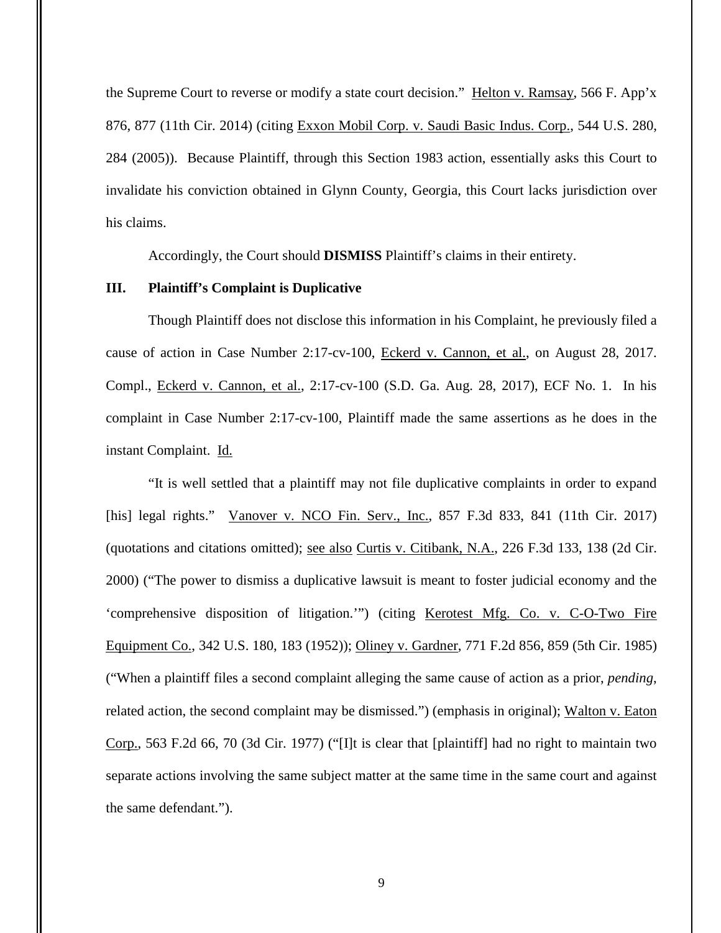the Supreme Court to reverse or modify a state court decision." Helton v. Ramsay, 566 F. App'x 876, 877 (11th Cir. 2014) (citing Exxon Mobil Corp. v. Saudi Basic Indus. Corp., 544 U.S. 280, 284 (2005)). Because Plaintiff, through this Section 1983 action, essentially asks this Court to invalidate his conviction obtained in Glynn County, Georgia, this Court lacks jurisdiction over his claims.

Accordingly, the Court should **DISMISS** Plaintiff's claims in their entirety.

## **III. Plaintiff's Complaint is Duplicative**

 Though Plaintiff does not disclose this information in his Complaint, he previously filed a cause of action in Case Number 2:17-cv-100, Eckerd v. Cannon, et al., on August 28, 2017. Compl., Eckerd v. Cannon, et al., 2:17-cv-100 (S.D. Ga. Aug. 28, 2017), ECF No. 1. In his complaint in Case Number 2:17-cv-100, Plaintiff made the same assertions as he does in the instant Complaint. Id.

"It is well settled that a plaintiff may not file duplicative complaints in order to expand [his] legal rights." Vanover v. NCO Fin. Serv., Inc., 857 F.3d 833, 841 (11th Cir. 2017) (quotations and citations omitted); see also Curtis v. Citibank, N.A., 226 F.3d 133, 138 (2d Cir. 2000) ("The power to dismiss a duplicative lawsuit is meant to foster judicial economy and the 'comprehensive disposition of litigation.'") (citing Kerotest Mfg. Co. v. C-O-Two Fire Equipment Co., 342 U.S. 180, 183 (1952)); Oliney v. Gardner, 771 F.2d 856, 859 (5th Cir. 1985) ("When a plaintiff files a second complaint alleging the same cause of action as a prior, *pending*, related action, the second complaint may be dismissed.") (emphasis in original); Walton v. Eaton Corp., 563 F.2d 66, 70 (3d Cir. 1977) ("[I]t is clear that [plaintiff] had no right to maintain two separate actions involving the same subject matter at the same time in the same court and against the same defendant.").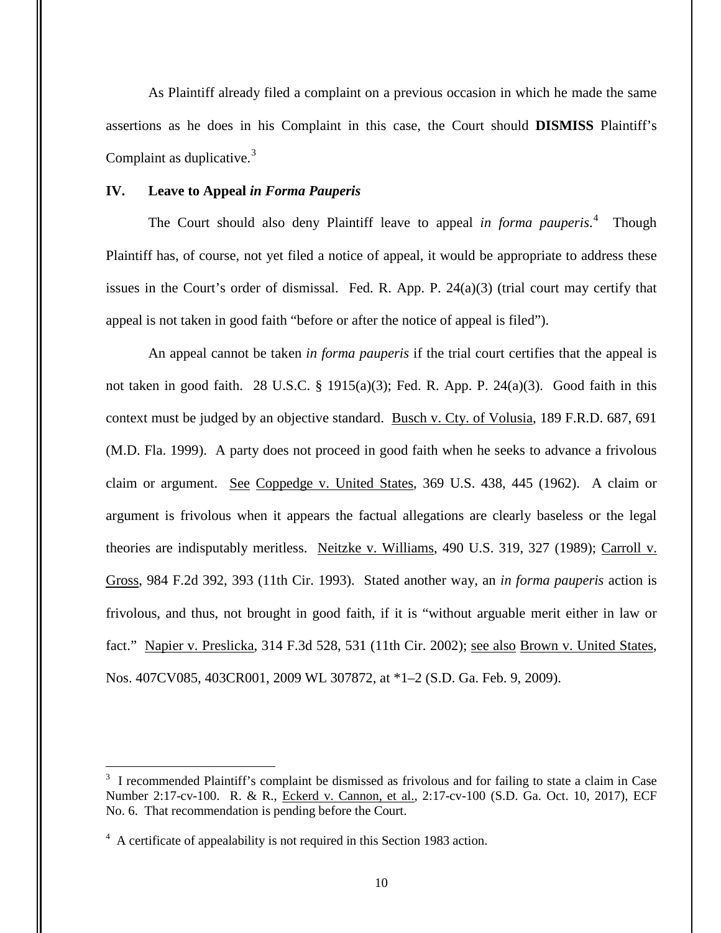As Plaintiff already filed a complaint on a previous occasion in which he made the same assertions as he does in his Complaint in this case, the Court should **DISMISS** Plaintiff's Complaint as duplicative. $3$ 

## **IV. Leave to Appeal** *in Forma Pauperis*

The Court should also deny Plaintiff leave to appeal *in forma pauperis*. 4 Though Plaintiff has, of course, not yet filed a notice of appeal, it would be appropriate to address these issues in the Court's order of dismissal. Fed. R. App. P. 24(a)(3) (trial court may certify that appeal is not taken in good faith "before or after the notice of appeal is filed").

An appeal cannot be taken *in forma pauperis* if the trial court certifies that the appeal is not taken in good faith. 28 U.S.C. § 1915(a)(3); Fed. R. App. P. 24(a)(3). Good faith in this context must be judged by an objective standard. Busch v. Cty. of Volusia, 189 F.R.D. 687, 691 (M.D. Fla. 1999). A party does not proceed in good faith when he seeks to advance a frivolous claim or argument. See Coppedge v. United States, 369 U.S. 438, 445 (1962). A claim or argument is frivolous when it appears the factual allegations are clearly baseless or the legal theories are indisputably meritless. Neitzke v. Williams, 490 U.S. 319, 327 (1989); Carroll v. Gross, 984 F.2d 392, 393 (11th Cir. 1993). Stated another way, an *in forma pauperis* action is frivolous, and thus, not brought in good faith, if it is "without arguable merit either in law or fact." Napier v. Preslicka, 314 F.3d 528, 531 (11th Cir. 2002); see also Brown v. United States, Nos. 407CV085, 403CR001, 2009 WL 307872, at \*1–2 (S.D. Ga. Feb. 9, 2009).

 $\overline{a}$ 

<sup>&</sup>lt;sup>3</sup> I recommended Plaintiff's complaint be dismissed as frivolous and for failing to state a claim in Case Number 2:17-cv-100. R. & R., Eckerd v. Cannon, et al., 2:17-cv-100 (S.D. Ga. Oct. 10, 2017), ECF No. 6. That recommendation is pending before the Court.

<sup>&</sup>lt;sup>4</sup> A certificate of appealability is not required in this Section 1983 action.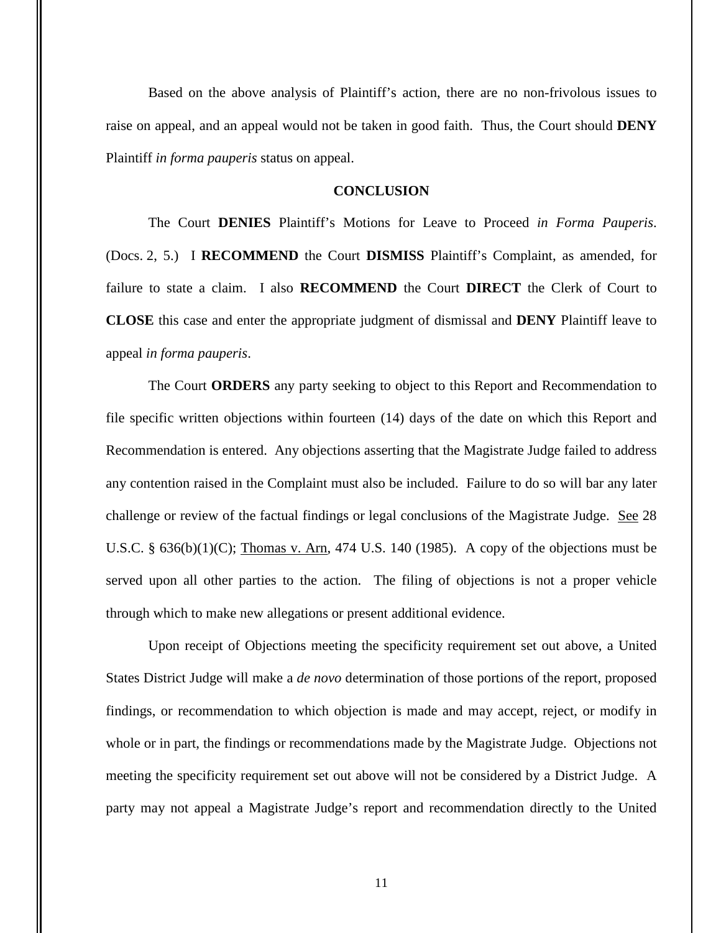Based on the above analysis of Plaintiff's action, there are no non-frivolous issues to raise on appeal, and an appeal would not be taken in good faith. Thus, the Court should **DENY** Plaintiff *in forma pauperis* status on appeal.

## **CONCLUSION**

The Court **DENIES** Plaintiff's Motions for Leave to Proceed *in Forma Pauperis*. (Docs. 2, 5.) I **RECOMMEND** the Court **DISMISS** Plaintiff's Complaint, as amended, for failure to state a claim. I also **RECOMMEND** the Court **DIRECT** the Clerk of Court to **CLOSE** this case and enter the appropriate judgment of dismissal and **DENY** Plaintiff leave to appeal *in forma pauperis*.

The Court **ORDERS** any party seeking to object to this Report and Recommendation to file specific written objections within fourteen (14) days of the date on which this Report and Recommendation is entered. Any objections asserting that the Magistrate Judge failed to address any contention raised in the Complaint must also be included. Failure to do so will bar any later challenge or review of the factual findings or legal conclusions of the Magistrate Judge. See 28 U.S.C.  $\S$  636(b)(1)(C); Thomas v. Arn, 474 U.S. 140 (1985). A copy of the objections must be served upon all other parties to the action. The filing of objections is not a proper vehicle through which to make new allegations or present additional evidence.

Upon receipt of Objections meeting the specificity requirement set out above, a United States District Judge will make a *de novo* determination of those portions of the report, proposed findings, or recommendation to which objection is made and may accept, reject, or modify in whole or in part, the findings or recommendations made by the Magistrate Judge. Objections not meeting the specificity requirement set out above will not be considered by a District Judge. A party may not appeal a Magistrate Judge's report and recommendation directly to the United